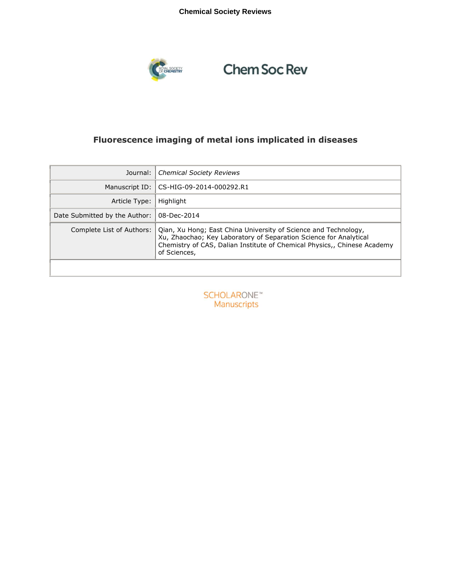## **Chemical Society Reviews**



# **Chem Soc Rev**

## **Fluorescence imaging of metal ions implicated in diseases**

| Journal:                      | <b>Chemical Society Reviews</b>                                                                                                                                                                                                  |
|-------------------------------|----------------------------------------------------------------------------------------------------------------------------------------------------------------------------------------------------------------------------------|
|                               | Manuscript ID: CS-HIG-09-2014-000292.R1                                                                                                                                                                                          |
| Article Type:                 | Highlight                                                                                                                                                                                                                        |
| Date Submitted by the Author: | 08-Dec-2014                                                                                                                                                                                                                      |
| Complete List of Authors:     | Oian, Xu Hong; East China University of Science and Technology,<br>Xu, Zhaochao; Key Laboratory of Separation Science for Analytical<br>Chemistry of CAS, Dalian Institute of Chemical Physics,, Chinese Academy<br>of Sciences, |

**SCHOLARONE**™ Manuscripts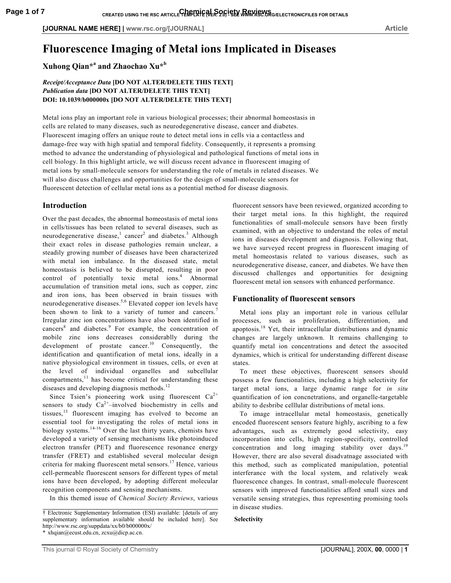## **Fluorescence Imaging of Metal ions Implicated in Diseases**

**Xuhong Qian\*<sup>a</sup> and Zhaochao Xu\*<sup>b</sup>**

### *Receipt/Acceptance Data* **[DO NOT ALTER/DELETE THIS TEXT]** *Publication data* **[DO NOT ALTER/DELETE THIS TEXT] DOI: 10.1039/b000000x [DO NOT ALTER/DELETE THIS TEXT]**

Metal ions play an important role in various biological processes; their abnormal homeostasis in cells are related to many diseases, such as neurodegenerative disease, cancer and diabetes. Fluorescent imaging offers an unique route to detect metal ions in cells via a contactless and damage-free way with high spatial and temporal fidelity. Consequently, it represents a promsing method to advance the understanding of physiological and pathological functions of metal ions in cell biology. In this highlight article, we will discuss recent advance in fluorescent imaging of metal ions by small-molecule sensors for understanding the role of metals in related diseases. We will also discuss challenges and opportunities for the design of small-molecule sensors for fluorescent detection of cellular metal ions as a potential method for disease diagnosis.

## **Introduction**

Over the past decades, the abnormal homeostasis of metal ions in cells/tissues has been related to several diseases, such as neurodegenerative disease,<sup>1</sup> cancer<sup>2</sup> and diabetes.<sup>3</sup> Although their exact roles in disease pathologies remain unclear, a steadily growing number of diseases have been characterized with metal ion imbalance. In the diseased state, metal homeostasis is believed to be disrupted, resulting in poor control of potentially toxic metal ions.<sup>4</sup> Abnormal accumulation of transition metal ions, such as copper, zinc and iron ions, has been observed in brain tissues with neurodegenerative diseases.<sup>5,6</sup> Elevated copper ion levels have been shown to link to a variety of tumor and cancers.<sup>7</sup> Irregular zinc ion concentrations have also been identified in cancers<sup>8</sup> and diabetes.<sup>9</sup> For example, the concentration of mobile zinc ions decreases considerablly during the development of prostate cancer.<sup>10</sup> Consequently, the identification and quantification of metal ions, ideally in a native physiological environment in tissues, cells, or even at the level of individual organelles and subcellular compartments,<sup>11</sup> has become critical for understanding these diseases and developing diagnosis methods.<sup>12</sup>

Since Tsien's pioneering work using fluorescent  $Ca^{2+}$ sensors to study  $Ca^{2+}$ –involved biochemistry in cells and tissues, $13$  fluorescent imaging has evolved to become an essential tool for investigating the roles of metal ions in biology systems.14-16 Over the last thirty years, chemists have developed a variety of sensing mechanisms like photoinduced electron transfer (PET) and fluorescence resonance energy transfer (FRET) and established several molecular design criteria for making fluorescent metal sensors.<sup>17</sup> Hence, various cell-permeable fluorescent sensors for different types of metal ions have been developed, by adopting different molecular recognition components and sensing mechanisms.

In this themed issue of *Chemical Society Reviews*, various

fluorecent sensors have been reviewed, organized according to their target metal ions. In this highlight, the required functionalities of small-molecule sensors have been firstly examined, with an objective to understand the roles of metal ions in diseases development and diagnosis. Following that, we have surveyed recent progress in fluorescent imaging of metal homeostasis related to various diseases, such as neurodegenerative disease, cancer, and diabetes. We have then discussed challenges and opportunities for designing fluorescent metal ion sensors with enhanced performance.

#### **Functionality of fluorescent sensors**

Metal ions play an important role in various cellular processes, such as proliferation, differentiation, and apoptosis.<sup>18</sup> Yet, their intracellular distributions and dynamic changes are largely unknown. It remains challenging to quantify metal ion concentrations and detect the associted dynamics, which is critical for understanding different disease states.

To meet these objectives, fluorescent sensors should possess a few functionalities, including a high selectivity for target metal ions, a large dynamic range for *in situ* quantification of ion concnetrations, and organelle-targetable ability to desbribe celllular distributions of metal ions.

To image intracellular metal homeostasis, genetically encoded fluorescent sensors feature highly, ascribing to a few advantages, such as extremely good selectivity, easy incorporation into cells, high region-specificity, controlled concentration and long imaging stability over days.<sup>19</sup> However, there are also several disadvatnage associated with this method, such as complicated manipulation, potential interferance with the local system, and relatively weak fluorescence changes. In contrast, small-molecule fluorescent sensors with improved functionalities afford small sizes and versatile sensing strategies, thus representing promising tools in disease studies.

#### **Selectivity**

<sup>†</sup> Electronic Supplementary Information (ESI) available: [details of any supplementary information available should be included here]. See http://www.rsc.org/suppdata/xx/b0/b000000x/ \* xhqian@ecust.edu.cn, zcxu@dicp.ac.cn.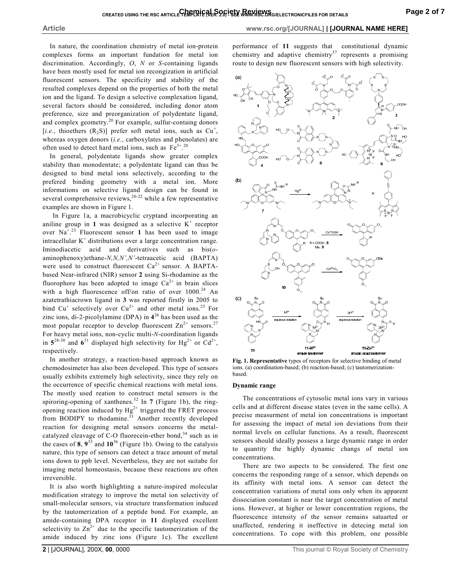In nature, the coordination chemistry of metal ion-protein complexes forms an important fundation for metal ion discrimination. Accordingly, *O*, *N* or *S*-containing ligands have been mostly used for metal ion recongization in artificial fluorescent sensors. The specificity and stability of the resulted complexes depend on the properties of both the metal ion and the ligand. To design a selective complexation ligand, several factors should be considered, including donor atom preference, size and preorganization of polydentate ligand, and complex geometry.<sup>20</sup> For example, sulfur-containg donors [ $i.e.,$  thioethers  $(R_2S)$ ] prefer soft metal ions, such as  $Cu^+,$ whereas oxygen donors (*i.e.*, carboxylates and phenolates) are often used to detect hard metal ions, such as  $Fe^{3+}$ .<sup>20</sup>

In general, polydentate ligands show greater complex stability than monodentate; a polydentate ligand can thus be designed to bind metal ions selectively, according to the prefered binding geometry with a metal ion. More informations on selective ligand design can be found in several comprehensive reviews, $20-22$  while a few representative examples are shown in Figure 1.

In Figure 1a, a macrobicyclic cryptand incorporating an aniline group in 1 was designed as a selective  $K^+$  receptor over  $\text{Na}^{+23}$  Fluorescent sensor 1 has been used to image intracellular  $K^+$  distributions over a large concentration range. Iminodiacetic acid and derivatives such as bis(*o*aminophenoxy)ethane-*N,N,N',N'*-tetraacetic acid (BAPTA) were used to construct fluorescent  $Ca^{2+}$  sensor. A BAPTAbased Near-infrared (NIR) sensor **2** using Si-rhodamine as the fluorophore has been adopted to image  $Ca^{2+}$  in brain slices with a high fluorescence off/on ratio of over  $1000^{24}$  An azatetrathiacrown ligand in **3** was reported firstly in 2005 to bind Cu<sup>+</sup> selectively over Cu<sup>2+</sup> and other metal ions.<sup>25</sup> For zinc ions, di-2-picolylamine (DPA) in **4** <sup>26</sup> has been used as the most popular receptor to develop fluorescent  $\text{Zn}^{2+}$  sensors.<sup>27</sup> For heavy metal ions, non-cyclic multi-*N*-coordination ligands in  $5^{28-30}$  and  $6^{31}$  displayed high selectivity for Hg<sup>2+</sup> or Cd<sup>2+</sup>, respectively.

In another strategy, a reaction-based approach known as chemodosimeter has also been developed. This type of sensors usually exhibits extremely high selectivity, since they rely on the occurrence of specific chemical reactions with metal ions. The mostly used reation to construct metal sensors is the spiroring-opening of xanthenes.<sup>32</sup> In  $7$  (Figure 1b), the ringopening reaction induced by  $Hg^{2+}$  triggered the FRET process from BODIPY to rhodamine.<sup>33</sup> Another recently developed reaction for designing metal sensors concerns the metalcatalyzed cleavage of C-O fluorecein-ether bond, $34$  such as in the cases of  $8$ ,  $9^{35}$  and  $10^{36}$  (Figure 1b). Owing to the catalysis nature, this type of sensors can detect a trace amount of metal ions down to ppb level. Nevertheless, they are not suitabe for imaging metal homeostasis, because these reactions are often irreversible.

It is also worth highlighting a nature-inspired molecular modification strategy to improve the metal ion selectivity of small-molecular sensors, via structure transformation induced by the tautomerization of a peptide bond. For example, an amide-containing DPA receptor in **11** displayed excellent selectivity to  $\text{Zn}^{2+}$  due to the specific tautomerization of the amide induced by zinc ions (Figure 1c). The excellent

performance of **11** suggests that constitutional dynamic chemistry and adaptive chemistry<sup>37</sup> represents a promising route to design new fluorescent sensors with high selectivity.



**Fig. 1. Representative** types of receptors for selective binding of metal ions. (a) coordination-based; (b) reaction-based; (c) tautomerizationbased.

#### **Dynamic range**

The concentrations of cytosolic metal ions vary in various cells and at different disease states (even in the same cells). A precise measurment of metal ion concentrations is important for assessing the impact of metal ion deviations from their normal levels on cellular functions. As a result, fluorescent sensors should ideally possess a large dynamic range in order to quantity the highly dynamic changs of metal ion concentrations.

There are two aspects to be considered. The first one concerns the responding range of a sensor, which depends on its affinity with metal ions. A sensor can detect the concentration variations of metal ions only when its apparent dissociation constant is near the target concentration of metal ions. However, at higher or lower concentration regions, the fluorescence intensity of the sensor remains satuarted or unaffected, rendering it ineffective in detecing metal ion concentrations. To cope with this problem, one possible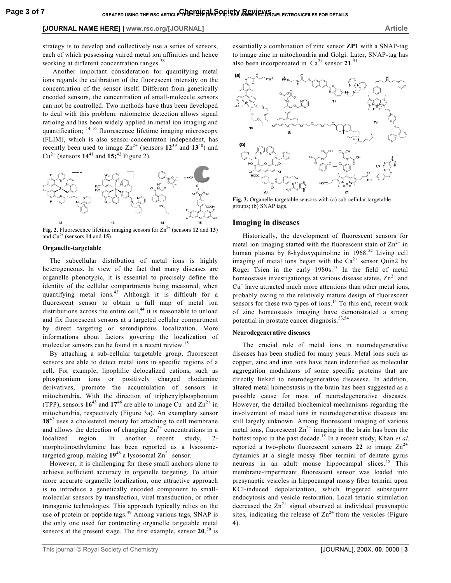strategy is to develop and collectively use a series of sensors, each of which possessing vaired metal ion affinities and hence working at different concentration ranges.<sup>38</sup>

Another important consideration for quantifying metal ions regards the calibration of the fluorescent intensity on the concentration of the sensor itself. Different from genetically encoded sensors, the cencentration of small-molecule sensors can not be controlled. Two methods have thus been developed to deal with this problem: ratiometric detection allows signal ratioing and has been widely applied in metal ion imaging and quantification;  $14-16$  fluorescence lifetime imaging microscopy (FLIM), which is also sensor-concentraton independent, has recently been used to image  $\text{Zn}^{2+}$  (sensors  $12^{39}$  and  $13^{40}$ ) and  $Cu^{2+}$  (sensors  $14^{41}$  and  $15;^{42}$  Figure 2).



**Fig. 2.** Fluorescence lifetime imaging sensors for  $\text{Zn}^{2+}$  (sensors 12 and 13) and  $Cu^{2+}$  (sensors **14** and **15**).

#### **Organelle-targetable**

The subcellular distribution of metal ions is highly heterogeneous. In view of the fact that many diseases are organelle phenotypic, it is essential to precisely define the identity of the cellular compartments being measured, when quantifying metal ions.<sup>43</sup> Although it is difficult for a fluorescent sensor to obtain a full map of metal ion distributions across the entire cell, $44$  it is reasonable to unload and fix fluorescent sensors at a targeted cellular compartment by direct targeting or serendipitous localization. More informations about factors govering the localization of molecular sensors can be found in a recent review.<sup>15</sup>

By attaching a sub-cellular targetable group, fluorescent sensors are able to detect metal ions in specific regions of a cell. For example, lipophilic delocalized cations, such as phosphonium ions or positively charged rhodamine derivatives, promote the accumulation of sensors in mitochondria. With the direction of triphenylphosphonium (TPP), sensors  $16^{45}$  and  $17^{46}$  are able to image Cu<sup>+</sup> and  $Zn^{2+}$  in mitochondria, respectively (Figure 3a). An exemplary sensor 18<sup>47</sup> uses a cholesterol moiety for attaching to cell membrane and allows the detection of changing  $Zn^{2+}$  concentrations in a localized region. In another recent study, 2 morpholinoethylamine has been reported as a lysosometargeted group, making  $19^{48}$  a lysosomal  $\text{Zn}^{2+}$  sensor.

However, it is challenging for these small anchors alone to achieve sufficient accuracy in organelle targeting. To attain more accurate organelle localization, one attractive approach is to introduce a genetically encoded component to smallmolecular sensors by transfection, viral transduction, or other transgenic technologies. This approach typically relies on the use of protein or peptide tags.<sup>49</sup> Among various tags, SNAP is the only one used for contructing organelle targetable metal sensors at the present stage. The first example, sensor **20**, <sup>50</sup> is essentially a combination of zinc sensor **ZP1** with a SNAP-tag to image zinc in mitochondria and Golgi. Later, SNAP-tag has also been incorporoated in  $Ca^{2+}$  sensor  $21$ .<sup>51</sup>



**Fig. 3.** Organelle-targetable sensors with (a) sub-cellular targetable groups; (b) SNAP tags.

#### **Imaging in diseases**

Historically, the development of fluorescent sensors for metal ion imaging started with the fluorescent stain of  $\text{Zn}^{2+}$  in human plasma by 8-hydoxyquinoline in  $1968$ <sup>52</sup> Living cell imaging of metal ions began with the  $Ca^{2+}$  sensor Quin2 by Roger Tsien in the early  $1980s$ .<sup>13</sup> In the field of metal homeostasis investigationgs at various disease states,  $\text{Zn}^{2+}$  and  $Cu<sup>+</sup>$  have attracted much more attentions than other metal ions, probably owing to the relatively mature design of fluorescent sensors for these two types of ions.<sup>14</sup> To this end, recent work of zinc homeostasis imaging have demonstrated a strong potential in prostate cancer diagnosis.<sup>53,54</sup>

#### **Neurodegenerative diseases**

The crucial role of metal ions in neurodegenerative diseases has been studied for many years. Metal ions such as copper, zinc and iron ions have been indentified as molecular aggregation modulators of some specific proteins that are directly linked to neurodegenerative diseasese. In addition, altered metal homeostasis in the brain has been suggested as a possible cause for most of neurodegenerative diseases. However, the detailed biochemical mechanisms regarding the involvement of metal ions in neurodegenerative diseases are still largely unknown. Among fluorescent imaging of various metal ions, fluorescent  $\text{Zn}^{2+}$  imaging in the brain has been the hottest topic in the past decade.<sup>15</sup> In a recent study, Khan *et al.* reported a two-photo fluorescent sensors 22 to image  $\text{Zn}^{2+}$ dynamics at a single mossy fiber termini of dentate gyrus neurons in an adult mouse hippocampal slices.<sup>55</sup> This membrane-impermeant fluorescent sensor was loaded into presynaptic vesicles in hippocampal mossy fiber termini upon KCl-induced depolarization, which triggered subsequent endocytosis and vesicle restoration. Local tetanic stimulation decreased the  $Zn^{2+}$  signal observed at individual presynaptic sites, indicating the release of  $\text{Zn}^{2+}$  from the vesicles (Figure 4).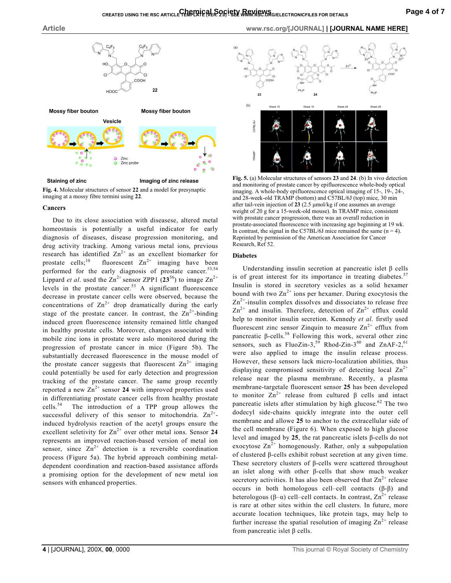

**Fig. 4.** Molecular structures of sensor **22** and a model for presynaptic imaging at a mossy fibre termini using **22**.

#### **Cancers**

Due to its close association with diseasese, altered metal homeostasis is potentially a useful indicator for early diagnosis of diseases, disease progression monitoring, and drug activity tracking. Among various metal ions, previous research has identified  $Zn^{2+}$  as an excellent biomarker for prostate cells;<sup>10</sup> fluorescent  $\text{Zn}^{2+}$  imaging have been performed for the early diagnosis of prostate cancer.<sup>53,54</sup> Lippard *et al.* used the  $Zn^{2+}$  sensor ZPP1 (23<sup>56</sup>) to image  $Zn^{2+}$ levels in the prostate cancer. $53$  A significant fluorescence decrease in prostate cancer cells were observed, because the concentrations of  $\text{Zn}^{2+}$  drop dramatically during the early stage of the prostate cancer. In contrast, the  $\text{Zn}^{2+}$ -binding induced green fluorescence intensity remained little changed in healthy prostate cells. Moreover, changes associated with mobile zinc ions in prostate were aslo monitored during the progression of prostate cancer in mice (Figure 5b). The substantially decreased fluorescence in the mouse model of the prostate cancer suggests that fluorescent  $\text{Zn}^{2+}$  imaging could potentially be used for early detection and progression tracking of the prostate cancer. The same group recently reported a new  $\text{Zn}^{2+}$  sensor 24 with improved properties used in differentiating prostate cancer cells from healthy prostate cells.<sup>54</sup> The introduction of a TPP group allowes the The introduction of a TPP group allowes the successful delivery of this sensor to mitochondria.  $Zn^{2+}$ induced hydrolysis reaction of the acetyl groups ensure the excellent seletivity for  $\text{Zn}^{2+}$  over other metal ions. Sensor 24 represents an improved reaction-based version of metal ion sensor, since  $\text{Zn}^{2+}$  detection is a reversible coordination process (Figure 5a). The hybrid approach combining metaldependent coordination and reaction-based assistance affords a promising option for the development of new metal ion sensors with enhanced properties.





**Fig. 5.** (a) Molecular structures of sensors **23** and **24**. (b) In vivo detection and monitoring of prostate cancer by epifluorescence whole-body optical imaging. A whole-body epifluorescence optical imaging of 15-, 19-, 24-, and 28-week-old TRAMP (bottom) and C57BL/6J (top) mice, 30 min after tail-vein injection of **23** (2.5 µmol/kg if one assumes an average weight of 20 g for a 15-week-old mouse). In TRAMP mice, consistent with prostate cancer progression, there was an overall reduction in prostate-associated fluorescence with increasing age beginning at 19 wk. In contrast, the signal in the C57BL/6J mice remained the same  $(n = 4)$ . Reprinted by permission of the American Association for Cancer Research, Ref 52.

#### **Diabetes**

Understanding insulin secretion at pancreatic islet β cells is of great interest for its importance in treating diabetes.<sup>57</sup> Insulin is stored in secretory vesicles as a solid hexamer bound with two  $\text{Zn}^{2+}$  ions per hexamer. During exocytosis the  $\text{Zn}^{2+}$ -insulin complex dissolves and dissociates to release free  $Zn^{2+}$  and insulin. Therefore, detection of  $Zn^{2+}$  efflux could help to monitor insulin secretion. Kennedy *et al*. firstly used fluorescent zinc sensor Zinquin to measure  $\text{Zn}^{2+}$  efflux from pancreatic β-cells.<sup>58</sup> Following this work, several other zinc sensors, such as FluoZin-3,<sup>59</sup> Rhod-Zin-3<sup>60</sup> and ZnAF-2,<sup>61</sup> were also applied to image the insulin release process. However, these sensors lack micro-localization abilities, thus displaying compromised sensitivity of detecting local  $\text{Zn}^{2+}$ release near the plasma membrane. Recently, a plasma membrane-targetale fluorescent sensor **25** has been developed to monitor  $\text{Zn}^{2+}$  release from cultured  $\beta$  cells and intact pancreatic islets after stimulation by high glucose. <sup>62</sup> The two dodecyl side-chains quickly integrate into the outer cell membrane and allowe **25** to anchor to the extracellular side of the cell membrane (Figure 6). When exposed to high glucose level and imaged by **25**, the rat pancreatic islets β-cells do not exocytose  $\text{Zn}^{2+}$  homogenously. Rather, only a subpopulation of clustered β-cells exhibit robust secretion at any given time. These secretory clusters of β-cells were scattered throughout an islet along with other β-cells that show much weaker secretory activities. It has also been observed that  $\text{Zn}^{2+}$  release occurs in both homologous cell–cell contacts (β-β) and heterologous (β–α) cell–cell contacts. In contrast,  $\text{Zn}^{2+}$  release is rare at other sites within the cell clusters. In future, more accurate location techniques, like protein tags, may help to further increase the spatial resolution of imaging  $\text{Zn}^{2+}$  release from pancreatic islet β cells.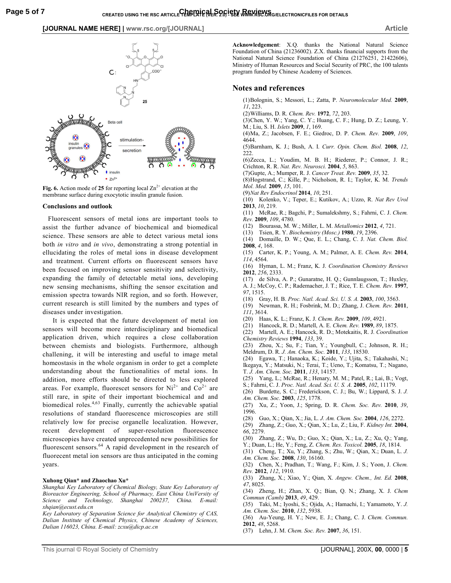

**Fig. 6.** Action mode of 25 for reporting local  $\text{Zn}^{2+}$  elevation at the membrane surface during exocytotic insulin granule fusion.

#### **Conclusions and outlook**

 Fluorescent sensors of metal ions are important tools to assist the further advance of biochemical and biomedical science. These sensors are able to detect various metal ions both *in vitro* and *in vivo*, demonstrating a strong potential in ellucidating the roles of metal ions in disease development and treatment. Current efforts on fluorescent sensors have been focused on improving sensor sensitivity and selectivity, expanding the family of detectable metal ions, developing new sensing mechanisms, shifting the sensor excitation and emission spectra towards NIR region, and so forth. However, current research is still limited by the numbers and types of diseases under investigation.

It is expected that the future development of metal ion sensors will become more interdisciplinary and biomedical application driven, which requires a close collaboration between chemists and biologists. Furthermore, although challening, it will be interesting and useful to image metal homeostasis in the whole organism in order to get a complete understanding about the functionalities of metal ions. In addition, more efforts should be directed to less explored areas. For example, fluorescet sensors for  $Ni^{2+}$  and  $Co^{2+}$  are still rare, in spite of their important biochemical and and biomedical roles.<sup>4,63</sup> Finally, currently the achievable spatial resolutions of standard fluorescence microscopies are still relatively low for precise organelle localization. However, recent development of super-resolution fluorescence microscopies have created unprecedented new possibilities for fluorescent sensors.<sup>64</sup> A rapid development in the research of fluorecent metal ion sensors are thus anticipated in the coming years.

## **Xuhong Qian\* and Zhaochao Xu\***

*Shanghai Key Laboratory of Chemical Biology, State Key Laboratory of Bioreactor Engineering, School of Pharmacy, East China UniVersity of Science and Technology, Shanghai 200237, China. E-mail: xhqian@ecust.edu.cn* 

*Key Laboratory of Separation Science for Analytical Chemistry of CAS, Dalian Institute of Chemical Physics, Chinese Academy of Sciences, Dalian 116023, China. E-mail: zcxu@dicp.ac.cn* 

**Acknowledgement**: X.Q. thanks the National Natural Science Foundation of China (21236002). Z.X. thanks financial supports from the National Natural Science Foundation of China (21276251, 21422606), Ministry of Human Resources and Social Security of PRC, the 100 talents program funded by Chinese Academy of Sciences.

## **Notes and references**

- (1) Bolognin, S.; Messori, L.; Zatta, P. *Neuromolecular Med.* **2009**, *11*, 223.
- (2) Williams, D. R. *Chem. Rev.* **1972**, *72*, 203.
- (3) Chen, Y. W.; Yang, C. Y.; Huang, C. F.; Hung, D. Z.; Leung, Y. M.; Liu, S. H. *Islets* **2009**, *1*, 169.
- (4) Ma, Z.; Jacobsen, F. E.; Giedroc, D. P. *Chem. Rev.* **2009**, *109*, 4644.
- (5) Barnham, K. J.; Bush, A. I. *Curr. Opin. Chem. Biol.* **2008**, *12*, 222.

 (6) Zecca, L.; Youdim, M. B. H.; Riederer, P.; Connor, J. R.; Crichton, R. R. *Nat. Rev. Neurosci.* **2004**, *5*, 863.

- (7) Gupte, A.; Mumper, R. J. *Cancer Treat. Rev.* **2009**, *35*, 32.
- (8) Hogstrand, C.; Kille, P.; Nicholson, R. I.; Taylor, K. M. *Trends Mol. Med.* **2009**, *15*, 101.
- (9) *Nat Rev Endocrinol* **2014**, *10*, 251.
- (10) Kolenko, V.; Teper, E.; Kutikov, A.; Uzzo, R. *Nat Rev Urol* **2013**, *10*, 219.
- (11) McRae, R.; Bagchi, P.; Sumalekshmy, S.; Fahrni, C. J. *Chem. Rev.* **2009**, *109*, 4780.
- (12) Bourassa, M. W.; Miller, L. M. *Metallomics* **2012**, *4*, 721.
- (13) Tsien, R. Y. *Biochemistry (Mosc.)* **1980**, *19*, 2396.
- (14) Domaille, D. W.; Que, E. L.; Chang, C. J. *Nat. Chem. Biol.* **2008**, *4*, 168.
- (15) Carter, K. P.; Young, A. M.; Palmer, A. E. *Chem. Rev.* **2014**, *114*, 4564.
- (16) Hyman, L. M.; Franz, K. J. *Coordination Chemistry Reviews* **2012**, *256*, 2333.
- (17) de Silva, A. P.; Gunaratne, H. Q.; Gunnlaugsson, T.; Huxley, A. J.; McCoy, C. P.; Rademacher, J. T.; Rice, T. E. *Chem. Rev.* **1997**, *97*, 1515.
- (18) Gray, H. B. *Proc. Natl. Acad. Sci. U. S. A.* **2003**, *100*, 3563.
- (19) Newman, R. H.; Fosbrink, M. D.; Zhang, J. *Chem. Rev.* **2011**, *111*, 3614.
- (20) Haas, K. L.; Franz, K. J. *Chem. Rev.* **2009**, *109*, 4921.
- (21) Hancock, R. D.; Martell, A. E. *Chem. Rev.* **1989**, *89*, 1875.
- (22) Martell, A. E.; Hancock, R. D.; Motekaitis, R. J. *Coordination Chemistry Reviews* **1994**, *133*, 39.

 (23) Zhou, X.; Su, F.; Tian, Y.; Youngbull, C.; Johnson, R. H.; Meldrum, D. R. *J. Am. Chem. Soc.* **2011**, *133*, 18530.

- (24) Egawa, T.; Hanaoka, K.; Koide, Y.; Ujita, S.; Takahashi, N.; Ikegaya, Y.; Matsuki, N.; Terai, T.; Ueno, T.; Komatsu, T.; Nagano, T. *J. Am. Chem. Soc.* **2011**, *133*, 14157.
- (25) Yang, L.; McRae, R.; Henary, M. M.; Patel, R.; Lai, B.; Vogt,
- S.; Fahrni, C. J. *Proc. Natl. Acad. Sci. U. S. A.* **2005**, *102*, 11179.
- (26) Burdette, S. C.; Frederickson, C. J.; Bu, W.; Lippard, S. J. *J. Am. Chem. Soc.* **2003**, *125*, 1778.
- (27) Xu, Z.; Yoon, J.; Spring, D. R. *Chem. Soc. Rev.* **2010**, *39*, 1996.
- (28) Guo, X.; Qian, X.; Jia, L. *J. Am. Chem. Soc.* **2004**, *126*, 2272.
- (29) Zhang, Z.; Guo, X.; Qian, X.; Lu, Z.; Liu, F. *Kidney Int.* **2004**, *66*, 2279.
- (30) Zhang, Z.; Wu, D.; Guo, X.; Qian, X.; Lu, Z.; Xu, Q.; Yang,
- Y.; Duan, L.; He, Y.; Feng, Z. *Chem. Res. Toxicol.* **2005**, *18*, 1814. (31) Cheng, T.; Xu, Y.; Zhang, S.; Zhu, W.; Qian, X.; Duan, L. *J.*
- *Am. Chem. Soc.* **2008**, *130*, 16160.
- (32) Chen, X.; Pradhan, T.; Wang, F.; Kim, J. S.; Yoon, J. *Chem. Rev.* **2012**, *112*, 1910.
- (33) Zhang, X.; Xiao, Y.; Qian, X. *Angew. Chem., Int. Ed.* **2008**, *47*, 8025.
- (34) Zheng, H.; Zhan, X. Q.; Bian, Q. N.; Zhang, X. J. *Chem Commun (Camb)* **2013**, *49*, 429.
- (35) Taki, M.; Iyoshi, S.; Ojida, A.; Hamachi, I.; Yamamoto, Y. *J. Am. Chem. Soc.* **2010**, *132*, 5938.
- (36) Au-Yeung, H. Y.; New, E. J.; Chang, C. J. *Chem. Commun.* **2012**, *48*, 5268.
- (37) Lehn, J. M. *Chem. Soc. Rev.* **2007**, *36*, 151.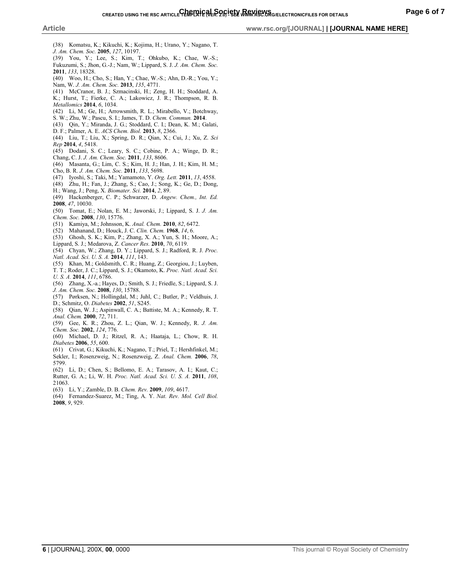#### **Article www.rsc.org/[JOURNAL] | [JOURNAL NAME HERE]**

- (38) Komatsu, K.; Kikuchi, K.; Kojima, H.; Urano, Y.; Nagano, T. *J. Am. Chem. Soc.* **2005**, *127*, 10197.
- (39) You, Y.; Lee, S.; Kim, T.; Ohkubo, K.; Chae, W.-S.; Fukuzumi, S.; Jhon, G.-J.; Nam, W.; Lippard, S. J. *J. Am. Chem. Soc.* **2011**, *133*, 18328.
- (40) Woo, H.; Cho, S.; Han, Y.; Chae, W.-S.; Ahn, D.-R.; You, Y.; Nam, W. *J. Am. Chem. Soc.* **2013**, *135*, 4771.
- (41) McCranor, B. J.; Szmacinski, H.; Zeng, H. H.; Stoddard, A. K.; Hurst, T.; Fierke, C. A.; Lakowicz, J. R.; Thompson, R. B.
- *Metallomics* **2014**, *6*, 1034. (42) Li, M.; Ge, H.; Arrowsmith, R. L.; Mirabello, V.; Botchway,
- S. W.; Zhu, W.; Pascu, S. I.; James, T. D. *Chem. Commun.* **2014**.
- (43) Qin, Y.; Miranda, J. G.; Stoddard, C. I.; Dean, K. M.; Galati, D. F.; Palmer, A. E. *ACS Chem. Biol.* **2013**, *8*, 2366.
- (44) Liu, T.; Liu, X.; Spring, D. R.; Qian, X.; Cui, J.; Xu, Z. *Sci Rep* **2014**, *4*, 5418.
- (45) Dodani, S. C.; Leary, S. C.; Cobine, P. A.; Winge, D. R.; Chang, C. J. *J. Am. Chem. Soc.* **2011**, *133*, 8606.
- (46) Masanta, G.; Lim, C. S.; Kim, H. J.; Han, J. H.; Kim, H. M.; Cho, B. R. *J. Am. Chem. Soc.* **2011**, *133*, 5698.
- (47) Iyoshi, S.; Taki, M.; Yamamoto, Y. *Org. Lett.* **2011**, *13*, 4558.
- (48) Zhu, H.; Fan, J.; Zhang, S.; Cao, J.; Song, K.; Ge, D.; Dong,
- H.; Wang, J.; Peng, X. *Biomater. Sci.* **2014**, *2*, 89.
- (49) Hackenberger, C. P.; Schwarzer, D. *Angew. Chem., Int. Ed.* **2008**, *47*, 10030.
- (50) Tomat, E.; Nolan, E. M.; Jaworski, J.; Lippard, S. J. *J. Am. Chem. Soc.* **2008**, *130*, 15776.
- (51) Kamiya, M.; Johnsson, K. *Anal. Chem.* **2010**, *82*, 6472.
- (52) Mahanand, D.; Houck, J. C. *Clin. Chem.* **1968**, *14*, 6.
- (53) Ghosh, S. K.; Kim, P.; Zhang, X. A.; Yun, S. H.; Moore, A.; Lippard, S. J.; Medarova, Z. *Cancer Res.* **2010**, *70*, 6119.
- (54) Chyan, W.; Zhang, D. Y.; Lippard, S. J.; Radford, R. J. *Proc. Natl. Acad. Sci. U. S. A.* **2014**, *111*, 143.
- (55) Khan, M.; Goldsmith, C. R.; Huang, Z.; Georgiou, J.; Luyben,
- T. T.; Roder, J. C.; Lippard, S. J.; Okamoto, K. *Proc. Natl. Acad. Sci. U. S. A.* **2014**, *111*, 6786.
- (56) Zhang, X.-a.; Hayes, D.; Smith, S. J.; Friedle, S.; Lippard, S. J. *J. Am. Chem. Soc.* **2008**, *130*, 15788.
- (57) Pørksen, N.; Hollingdal, M.; Juhl, C.; Butler, P.; Veldhuis, J. D.; Schmitz, O. *Diabetes* **2002**, *51*, S245.
- (58) Qian, W. J.; Aspinwall, C. A.; Battiste, M. A.; Kennedy, R. T. *Anal. Chem.* **2000**, *72*, 711.
- (59) Gee, K. R.; Zhou, Z. L.; Qian, W. J.; Kennedy, R. *J. Am. Chem. Soc.* **2002**, *124*, 776.
- (60) Michael, D. J.; Ritzel, R. A.; Haataja, L.; Chow, R. H. *Diabetes* **2006**, *55*, 600.
- (61) Crivat, G.; Kikuchi, K.; Nagano, T.; Priel, T.; Hershfinkel, M.; Sekler, I.; Rosenzweig, N.; Rosenzweig, Z. *Anal. Chem.* **2006**, *78*, 5799.
- (62) Li, D.; Chen, S.; Bellomo, E. A.; Tarasov, A. I.; Kaut, C.; Rutter, G. A.; Li, W. H. *Proc. Natl. Acad. Sci. U. S. A.* **2011**, *108*, 21063.
- (63) Li, Y.; Zamble, D. B. *Chem. Rev.* **2009**, *109*, 4617.
- (64) Fernandez-Suarez, M.; Ting, A. Y. *Nat. Rev. Mol. Cell Biol.* **2008**, *9*, 929.